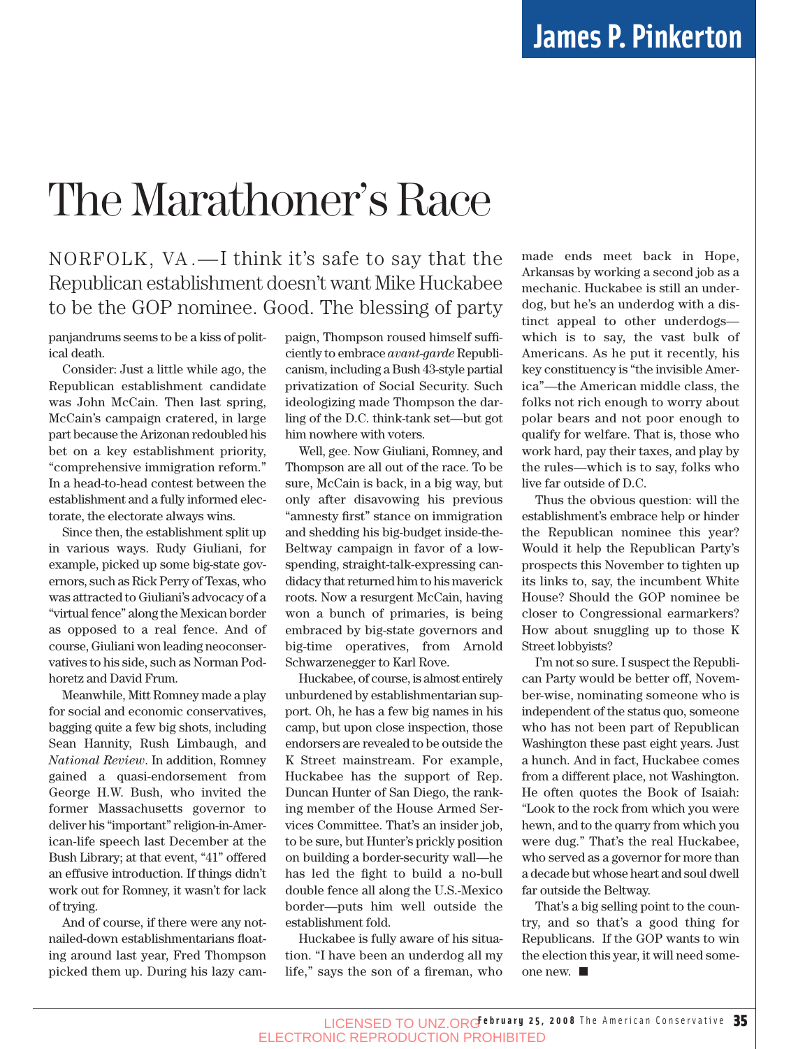# The Marathoner's Race

### NORFOLK, VA .—I think it's safe to say that the Republican establishment doesn't want Mike Huckabee to be the GOP nominee. Good. The blessing of party

panjandrums seems to be a kiss of political death.

Consider: Just a little while ago, the Republican establishment candidate was John McCain. Then last spring, McCain's campaign cratered, in large part because the Arizonan redoubled his bet on a key establishment priority, "comprehensive immigration reform." In a head-to-head contest between the establishment and a fully informed electorate, the electorate always wins.

Since then, the establishment split up in various ways. Rudy Giuliani, for example, picked up some big-state governors, such as Rick Perry of Texas, who was attracted to Giuliani's advocacy of a "virtual fence" along the Mexican border as opposed to a real fence. And of course, Giuliani won leading neoconservatives to his side, such as Norman Podhoretz and David Frum.

Meanwhile, Mitt Romney made a play for social and economic conservatives, bagging quite a few big shots, including Sean Hannity, Rush Limbaugh, and *National Review*. In addition, Romney gained a quasi-endorsement from George H.W. Bush, who invited the former Massachusetts governor to deliver his "important" religion-in-American-life speech last December at the Bush Library; at that event, "41" offered an effusive introduction. If things didn't work out for Romney, it wasn't for lack of trying.

And of course, if there were any notnailed-down establishmentarians floating around last year, Fred Thompson picked them up. During his lazy campaign, Thompson roused himself sufficiently to embrace *avant*-*garde* Republicanism, including a Bush 43-style partial privatization of Social Security. Such ideologizing made Thompson the darling of the D.C. think-tank set—but got him nowhere with voters.

Well, gee. Now Giuliani, Romney, and Thompson are all out of the race. To be sure, McCain is back, in a big way, but only after disavowing his previous "amnesty first" stance on immigration and shedding his big-budget inside-the-Beltway campaign in favor of a lowspending, straight-talk-expressing candidacy that returned him to his maverick roots. Now a resurgent McCain, having won a bunch of primaries, is being embraced by big-state governors and big-time operatives, from Arnold Schwarzenegger to Karl Rove.

Huckabee, of course, is almost entirely unburdened by establishmentarian support. Oh, he has a few big names in his camp, but upon close inspection, those endorsers are revealed to be outside the K Street mainstream. For example, Huckabee has the support of Rep. Duncan Hunter of San Diego, the ranking member of the House Armed Services Committee. That's an insider job, to be sure, but Hunter's prickly position on building a border-security wall—he has led the fight to build a no-bull double fence all along the U.S.-Mexico border—puts him well outside the establishment fold.

Huckabee is fully aware of his situation. "I have been an underdog all my life," says the son of a fireman, who made ends meet back in Hope, Arkansas by working a second job as a mechanic. Huckabee is still an underdog, but he's an underdog with a distinct appeal to other underdogs which is to say, the vast bulk of Americans. As he put it recently, his key constituency is "the invisible America"—the American middle class, the folks not rich enough to worry about polar bears and not poor enough to qualify for welfare. That is, those who work hard, pay their taxes, and play by the rules—which is to say, folks who live far outside of D.C.

Thus the obvious question: will the establishment's embrace help or hinder the Republican nominee this year? Would it help the Republican Party's prospects this November to tighten up its links to, say, the incumbent White House? Should the GOP nominee be closer to Congressional earmarkers? How about snuggling up to those K Street lobbyists?

I'm not so sure. I suspect the Republican Party would be better off, November-wise, nominating someone who is independent of the status quo, someone who has not been part of Republican Washington these past eight years. Just a hunch. And in fact, Huckabee comes from a different place, not Washington. He often quotes the Book of Isaiah: "Look to the rock from which you were hewn, and to the quarry from which you were dug." That's the real Huckabee, who served as a governor for more than a decade but whose heart and soul dwell far outside the Beltway.

That's a big selling point to the country, and so that's a good thing for Republicans. If the GOP wants to win the election this year, it will need someone new.